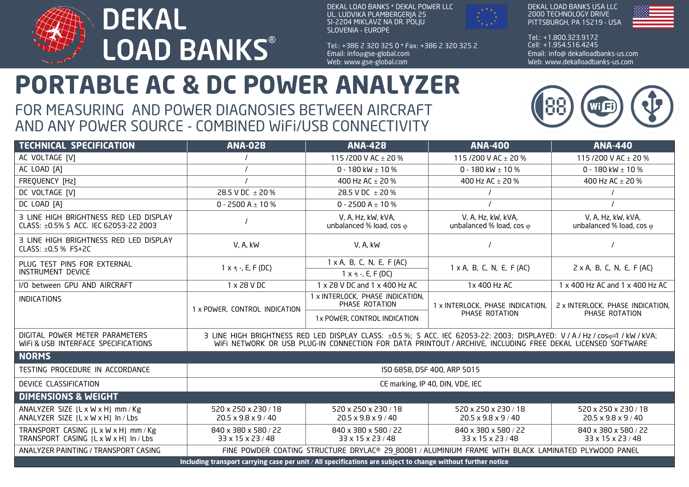

DEKAL LOAD BANKS \* DEKAL POWER LLC UL. LUDVIKA PLAMBERGERJA 25 SI-2204 MIKLAVZ NA DR. POLJU SLOVENIA - EUROPE

Tel.: + 386 2 320 325 0 \* Fax: + 386 2 320 325 2 Email: info@gse-global.com Web: www.gse-global.com



DEKAL LOAD BANKS USA LLC 2000 TECHNOLOGY DRIVE PITTSBURGH, PA 15219 - USA



Tel.: + 1.800.323.9172 Cell: + 1.954.516.4245 Email: info@ dekalloadbanks-us.com Web: www.dekalloadbanks-us.com

## **PORTABLE AC & DC POWER ANALYZER**

## FOR MEASURING AND POWER DIAGNOSIES BETWEEN AIRCRAFT AND ANY POWER SOURCE - COMBINED WiFi/USB CONNECTIVITY



| <b>TECHNICAL SPECIFICATION</b>                                                                               | <b>ANA-028</b>                                                                                                                                                                                                                            | <b>ANA-428</b>                                          | <b>ANA-400</b>                                          | <b>ANA-440</b>                                          |
|--------------------------------------------------------------------------------------------------------------|-------------------------------------------------------------------------------------------------------------------------------------------------------------------------------------------------------------------------------------------|---------------------------------------------------------|---------------------------------------------------------|---------------------------------------------------------|
| AC VOLTAGE [V]                                                                                               |                                                                                                                                                                                                                                           | 115/200 V AC $\pm$ 20 %                                 | 115/200 V AC + 20 %                                     | 115/200 V AC ± 20 %                                     |
| AC LOAD [A]                                                                                                  |                                                                                                                                                                                                                                           | 0 - 180 kW $\pm$ 10 %                                   | 0 - 180 kW $\pm$ 10 %                                   | 0 - 180 kW $\pm$ 10 %                                   |
| FREQUENCY [Hz]                                                                                               |                                                                                                                                                                                                                                           | 400 Hz AC ± 20 %                                        | 400 Hz AC ± 20 %                                        | 400 Hz AC ± 20 %                                        |
| DC VOLTAGE [V]                                                                                               | 28.5 V DC ± 20 %                                                                                                                                                                                                                          | 28.5 V DC $\pm$ 20 %                                    |                                                         |                                                         |
| DC LOAD [A]                                                                                                  | 0 - 2500 A $\pm$ 10 %                                                                                                                                                                                                                     | 0 - 2500 A $\pm$ 10 %                                   |                                                         |                                                         |
| 3 LINE HIGH BRIGHTNESS RED LED DISPLAY<br>CLASS: ±0.5% S ACC. IEC 62053-22 2003                              |                                                                                                                                                                                                                                           | V, A, Hz, kW, kVA,<br>unbalanced % load, cos $\varphi$  | V, A, Hz, kW, kVA,<br>unbalanced % load, cos $\varphi$  | V, A, Hz, kW, kVA,<br>unbalanced % load, cos $\varphi$  |
| 3 LINE HIGH BRIGHTNESS RED LED DISPLAY<br>CLASS: ±0,5 % FS+2C                                                | V, A, kW                                                                                                                                                                                                                                  | V, A, kW                                                |                                                         |                                                         |
| PLUG TEST PINS FOR EXTERNAL<br>INSTRUMENT DEVICE                                                             | $1x + -$ , E, F (DC)                                                                                                                                                                                                                      | $1 \times A$ , B, C, N, E, F (AC)                       | $1 \times A$ , B, C, N, E, F (AC)                       | $2 \times A$ , B, C, N, E, F (AC)                       |
|                                                                                                              |                                                                                                                                                                                                                                           | $1x + -$ , E, F (DC)                                    |                                                         |                                                         |
| I/O between GPU AND AIRCRAFT                                                                                 | 1 x 28 V DC                                                                                                                                                                                                                               | 1 x 28 V DC and 1 x 400 Hz AC                           | 1x 400 Hz AC                                            | 1 x 400 Hz AC and 1 x 400 Hz AC                         |
| <b>INDICATIONS</b>                                                                                           | 1 x POWER, CONTROL INDICATION                                                                                                                                                                                                             | 1 x INTERLOCK, PHASE INDICATION,<br>PHASE ROTATION      | 1 x INTERLOCK, PHASE INDICATION,<br>PHASE ROTATION      | 2 x INTERLOCK, PHASE INDICATION,<br>PHASE ROTATION      |
|                                                                                                              |                                                                                                                                                                                                                                           | 1x POWER, CONTROL INDICATION                            |                                                         |                                                         |
| DIGITAL POWER METER PARAMETERS<br>WIFI & USB INTERFACE SPECIFICATIONS                                        | 3 LINE HIGH BRIGHTNESS RED LED DISPLAY CLASS: ±0.5 %; S ACC. IEC 62053-22: 2003; DISPLAYED: V / A / Hz / coso=1 / kW / kVA;<br>WIFI NETWORK OR USB PLUG-IN CONNECTION FOR DATA PRINTOUT / ARCHIVE, INCLUDING FREE DEKAL LICENSED SOFTWARE |                                                         |                                                         |                                                         |
| <b>NORMS</b>                                                                                                 |                                                                                                                                                                                                                                           |                                                         |                                                         |                                                         |
| TESTING PROCEDURE IN ACCORDANCE                                                                              | ISO 6858, DSF 400, ARP 5015                                                                                                                                                                                                               |                                                         |                                                         |                                                         |
| DEVICE CLASSIFICATION                                                                                        | CE marking, IP 40, DIN, VDE, IEC                                                                                                                                                                                                          |                                                         |                                                         |                                                         |
| <b>DIMENSIONS &amp; WEIGHT</b>                                                                               |                                                                                                                                                                                                                                           |                                                         |                                                         |                                                         |
| ANALYZER SIZE $[L \times W \times H]$ mm / Kg<br>ANALYZER SIZE [L x W x H] In / Lbs                          | 520 x 250 x 230 / 18<br>$20.5 \times 9.8 \times 9 / 40$                                                                                                                                                                                   | 520 x 250 x 230 / 18<br>$20.5 \times 9.8 \times 9 / 40$ | 520 x 250 x 230 / 18<br>$20.5 \times 9.8 \times 9 / 40$ | 520 x 250 x 230 / 18<br>$20.5 \times 9.8 \times 9 / 40$ |
| TRANSPORT CASING [L x W x H] mm / Kg<br>TRANSPORT CASING [L x W x H] In / Lbs                                | 840 x 380 x 580 / 22<br>33 x 15 x 23 / 48                                                                                                                                                                                                 | 840 x 380 x 580 / 22<br>33 x 15 x 23 / 48               | 840 x 380 x 580 / 22<br>33 x 15 x 23 / 48               | 840 x 380 x 580 / 22<br>33 x 15 x 23 / 48               |
| ANALYZER PAINTING / TRANSPORT CASING                                                                         | FINE POWDER COATING STRUCTURE DRYLAC® 29_80081 / ALUMINIUM FRAME WITH BLACK LAMINATED PLYWOOD PANEL                                                                                                                                       |                                                         |                                                         |                                                         |
| Including transport carrying case per unit / All specifications are subject to change without further notice |                                                                                                                                                                                                                                           |                                                         |                                                         |                                                         |